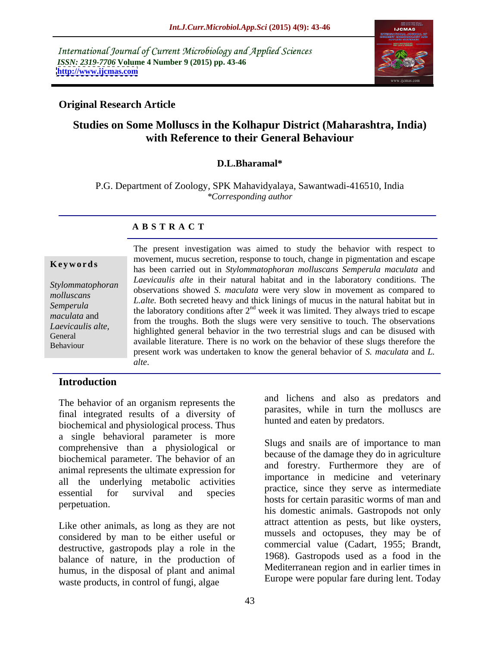International Journal of Current Microbiology and Applied Sciences *ISSN: 2319-7706* **Volume 4 Number 9 (2015) pp. 43-46 <http://www.ijcmas.com>**



# **Original Research Article**

# **Studies on Some Molluscs in the Kolhapur District (Maharashtra, India) with Reference to their General Behaviour**

### **D.L.Bharamal\***

P.G. Department of Zoology, SPK Mahavidyalaya, Sawantwadi-416510, India *\*Corresponding author*

### **A B S T R A C T**

Behaviour

The present investigation was aimed to study the behavior with respect to movement, mucus secretion, response to touch, change in pigmentation and escape has been carried out in *Stylommatophoran molluscans Semperula maculata* and *Laevicaulis alte* in their natural habitat and in the laboratory conditions. The Stylommatophoran between showed *S. maculata* were very slow in movement as compared to beervations showed *S. maculata* were very slow in movement as compared to *L.alte.* Both secreted heavy and thick linings of mucus in the natural habitat but in Semperula<br>the laboratory conditions after 2<sup>nd</sup> week it was limited. They always tried to escape maculata and<br>*L* containing the troughs. Both the slugs were very sensitive to touch. The observations highlighted general behavior in the two terrestrial slugs and can be disused with *Laevicaulis alte,* General<br>Rehaviour available literature. There is no work on the behavior of these slugs therefore the present work was undertaken to know the general behavior of *S. maculata* and *L.* **Examplement of the altertion in the set and several set and set and state and** *Laevicaulis alte* **in their natural habitat and in the laboratory conditions. The observations showed** *S. maculata* **were very slow in movement** 

### **Introduction**

The behavior of an organism represents the final integrated results of a diversity of biochemical and physiological process. Thus a single behavioral parameter is more comprehensive than a physiological or biochemical parameter. The behavior of an animal represents the ultimate expression for all the underlying metabolic activities essential for survival and species practice, since they serve as intermediate

Like other animals, as long as they are not considered by man to be either useful or destructive, gastropods play a role in the balance of nature, in the production of humus, in the disposal of plant and animal waste products, in control of fungi, algae

and lichens and also as predators and parasites, while in turn the molluscs are hunted and eaten by predators.

perpetuation. Slugs and snails are of importance to man because of the damage they do in agriculture and forestry. Furthermore they are of importance in medicine and veterinary practice, since they serve as intermediate hosts for certain parasitic worms of man and his domestic animals. Gastropods not only attract attention as pests, but like oysters, mussels and octopuses, they may be of commercial value (Cadart, 1955; Brandt, 1968). Gastropods used as a food in the Mediterranean region and in earlier times in Europe were popular fare during lent. Today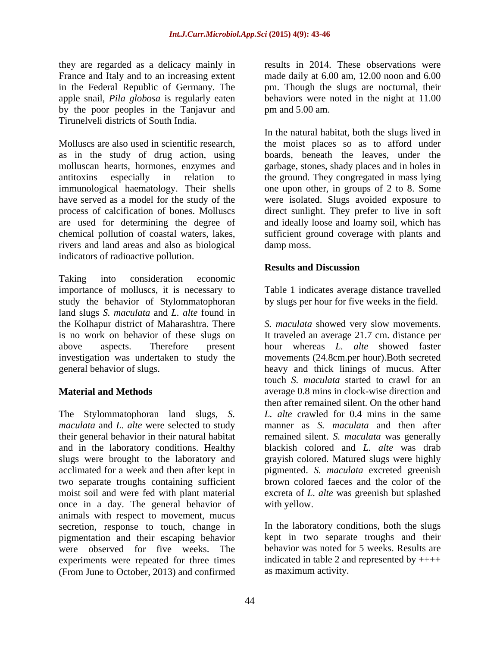they are regarded as a delicacy mainly in by the poor peoples in the Tanjavur and Tirunelveli districts of South India.

Molluscs are also used in scientific research, the moist places so as to afford under as in the study of drug action, using molluscan hearts, hormones, enzymes and garbage, stones, shady places and in holes in antitoxins especially in relation to the ground. They congregated in mass lying immunological haematology. Their shells one upon other, in groups of 2 to 8. Some have served as a model for the study of the were isolated. Slugs avoided exposure to process of calcification of bones. Molluscs direct sunlight. They prefer to live in soft are used for determining the degree of and ideally loose and loamy soil, which has chemical pollution of coastal waters, lakes, sufficient ground coverage with plants and rivers and land areas and also as biological indicators of radioactive pollution.

Taking into consideration economic importance of molluscs, it is necessary to Table 1 indicates average distance travelled study the behavior of Stylommatophoran land slugs *S. maculata* and *L. alte* found in is no work on behavior of these slugs on

The Stylommatophoran land slugs, *S.* slugs were brought to the laboratory and two separate troughs containing sufficient once in a day. The general behavior of animals with respect to movement, mucus secretion, response to touch, change in pigmentation and their escaping behavior were observed for five weeks. The experiments were repeated for three times (From June to October, 2013) and confirmed

France and Italy and to an increasing extent made daily at 6.00 am, 12.00 noon and 6.00 in the Federal Republic of Germany. The pm. Though the slugs are nocturnal, their apple snail, *Pila globosa* is regularly eaten behaviors were noted in the night at 11.00 results in 2014. These observations were pm and 5.00 am.

> In the natural habitat, both the slugs lived in boards, beneath the leaves, under the damp moss.

# **Results and Discussion**

by slugs per hour for five weeks in the field.

the Kolhapur district of Maharashtra. There *S. maculata* showed very slow movements. above aspects. Therefore present hour whereas *L. alte* showed faster investigation was undertaken to study the movements (24.8cm.per hour).Both secreted general behavior of slugs. heavy and thick linings of mucus. After **Material and Methods average 0.8 mins in clock-wise direction and** *maculata* and *L. alte* were selected to study manner as *S. maculata* and then after their general behavior in their natural habitat remained silent. *S. maculata* was generally and in the laboratory conditions. Healthy blackish colored and *L. alte* was drab acclimated for a week and then after kept in pigmented. *S. maculata* excreted greenish moist soil and were fed with plant material excreta of *L. alte* was greenish but splashed It traveled an average 21.7 cm. distance per touch *S. maculata* started to crawl for an then after remained silent. On the other hand *L. alte* crawled for 0.4 mins in the same grayish colored. Matured slugs were highly brown colored faeces and the color of the with yellow.

> In the laboratory conditions, both the slugs kept in two separate troughs and their behavior was noted for 5 weeks. Results are indicated in table 2 and represented by  $++++$ as maximum activity.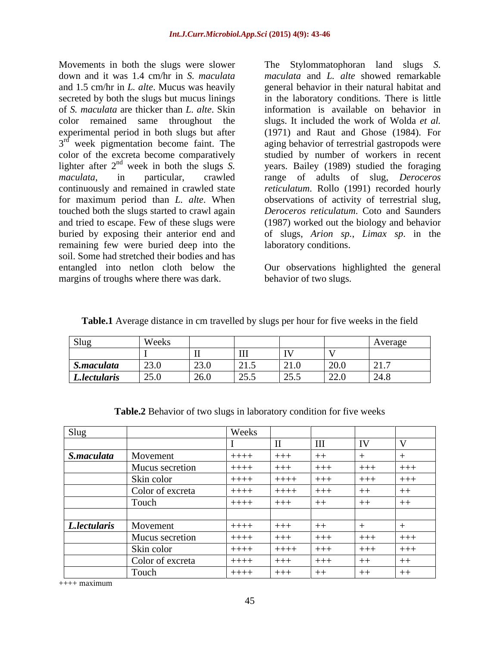Movements in both the slugs were slower The Stylommatophoran land slugs *S.*  down and it was 1.4 cm/hr in *S. maculata maculata* and *L. alte* showed remarkable and 1.5 cm/hr in *L. alte*. Mucus was heavily general behavior in their natural habitat and secreted by both the slugs but mucus linings in the laboratory conditions. There is little of *S. maculata* are thicker than *L. alte*. Skin information is available on behavior in color remained same throughout the slugs. It included the work of Wolda *et al.* experimental period in both slugs but after (1971) and Raut and Ghose (1984). For 3<sup>rd</sup> week pigmentation become faint. The aging behavior of terrestrial gastropods were  $3<sup>rd</sup>$  week pigmentation become faint. The color of the excreta become comparatively<br>lighter after  $2<sup>nd</sup>$  week in both the slugs S. lighter after  $2^{nd}$  week in both the slugs S. years. Bailey (1989) studied the foraging lighter after 2<sup>nd</sup> week in both the slugs *S*. years. Bailey (1989) studied the foraging maculata, in particular, crawled range of adults of slug, *Deroceros* continuously and remained in crawled state *reticulatum*. Rollo (1991) recorded hourly for maximum period than *L. alte*. When observations of activity of terrestrial slug, touched both the slugs started to crawl again *Deroceros reticulatum*. Coto and Saunders and tried to escape. Few of these slugs were (1987) worked out the biology and behavior buried by exposing their anterior end and of slugs, *Arion sp.*, *Limax sp*. in the remaining few were buried deep into the soil. Some had stretched their bodies and has entangled into netlon cloth below the Our observations highlighted the general margins of troughs where there was dark.

studied by number of workers in recent range of adults of slug, *Deroceros* laboratory conditions.

behavior of two slugs.

**Table.1** Average distance in cm travelled by slugs per hour for five weeks in the field

| Slug         | Weeks        |                |                          |                  |                           | Average                              |
|--------------|--------------|----------------|--------------------------|------------------|---------------------------|--------------------------------------|
|              |              |                | $\mathbf{I}$             | <b>IV</b>        |                           |                                      |
| S.maculata   | $\vert$ 23.0 | 1230<br>۰. ر_∠ | $\overline{215}$<br>21.7 | $\vert$ 21.0     | $20.0$                    | $\sqrt{21}$<br>.                     |
| L.lectularis | 25.0         | 26.0           | $\vert 25.5 \vert$       | $\frac{25.5}{ }$ | $\overline{2200}$<br>44.U | $\bigcap$ 0 $\bigcap$<br>$\sim$ 24.0 |

| Slug         |                  | <b>Weeks</b> |           |            |           |         |
|--------------|------------------|--------------|-----------|------------|-----------|---------|
|              |                  |              |           | <b>TTT</b> | <b>TV</b> |         |
| S.maculata   | Movement         | $+ + + +$    | $ $ +++   | $++$       |           |         |
|              | Mucus secretion  | $+ + + +$    | $+ + + +$ | $+++$      | $+++$     | $+++$   |
|              | Skin color       | $+ + + +$    | $+ + + +$ | $+++$      | $+++$     | $+ + +$ |
|              | Color of excreta | $+ + + +$    | $+ + + +$ | $+++$      | $++$      | $+ +$   |
|              | Fouch            | $+ + + +$    | $+ + +$   | $++$       | $^{++}$   | $+ +$   |
|              |                  |              |           |            |           |         |
| L.lectularis | Movement         | $+ + + +$    | $+++$     | $++$       |           |         |
|              | Mucus secretion  | $+ + + +$    | $- + + +$ | $+ + +$    | $+ + +$   | $+++$   |
|              | Skin color       | $+ + + +$    | $+ + + +$ | $+++$      | +++       | $+ + +$ |
|              | Color of excreta | $+ + + + +$  | $+ + +$   | $+++$      | $++$      | $+ +$   |
|              | Touch            | $+ + + +$    | $+ + +$   | $++$       | $++$      | $+$     |

**Table.2** Behavior of two slugs in laboratory condition for five weeks

 $++++$  maximum